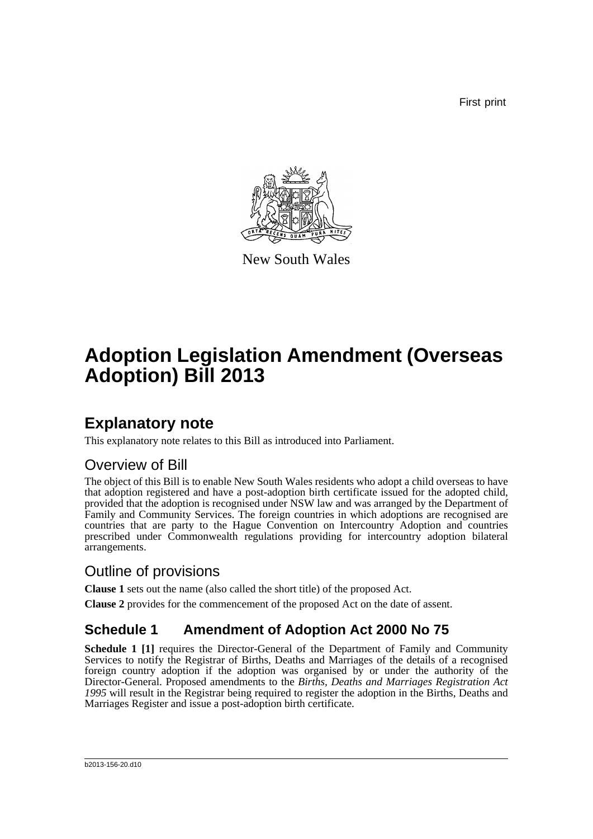First print



New South Wales

# **Adoption Legislation Amendment (Overseas Adoption) Bill 2013**

## **Explanatory note**

This explanatory note relates to this Bill as introduced into Parliament.

### Overview of Bill

The object of this Bill is to enable New South Wales residents who adopt a child overseas to have that adoption registered and have a post-adoption birth certificate issued for the adopted child, provided that the adoption is recognised under NSW law and was arranged by the Department of Family and Community Services. The foreign countries in which adoptions are recognised are countries that are party to the Hague Convention on Intercountry Adoption and countries prescribed under Commonwealth regulations providing for intercountry adoption bilateral arrangements.

### Outline of provisions

**Clause 1** sets out the name (also called the short title) of the proposed Act.

**Clause 2** provides for the commencement of the proposed Act on the date of assent.

### **Schedule 1 Amendment of Adoption Act 2000 No 75**

**Schedule 1 [1]** requires the Director-General of the Department of Family and Community Services to notify the Registrar of Births, Deaths and Marriages of the details of a recognised foreign country adoption if the adoption was organised by or under the authority of the Director-General. Proposed amendments to the *Births, Deaths and Marriages Registration Act 1995* will result in the Registrar being required to register the adoption in the Births, Deaths and Marriages Register and issue a post-adoption birth certificate.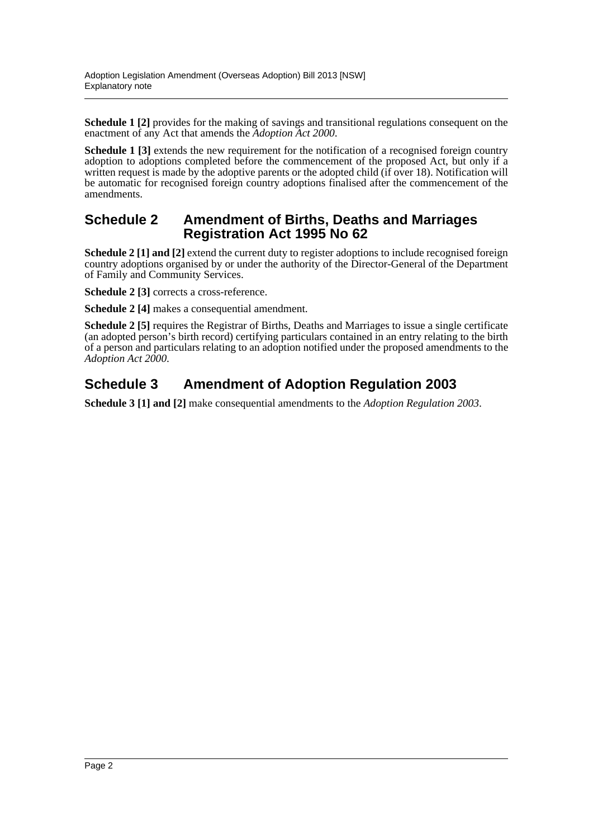**Schedule 1 [2]** provides for the making of savings and transitional regulations consequent on the enactment of any Act that amends the *Adoption Act 2000*.

**Schedule 1 [3]** extends the new requirement for the notification of a recognised foreign country adoption to adoptions completed before the commencement of the proposed Act, but only if a written request is made by the adoptive parents or the adopted child (if over 18). Notification will be automatic for recognised foreign country adoptions finalised after the commencement of the amendments.

#### **Schedule 2 Amendment of Births, Deaths and Marriages Registration Act 1995 No 62**

**Schedule 2 [1] and [2]** extend the current duty to register adoptions to include recognised foreign country adoptions organised by or under the authority of the Director-General of the Department of Family and Community Services.

**Schedule 2 [3]** corrects a cross-reference.

**Schedule 2 [4]** makes a consequential amendment.

**Schedule 2 [5]** requires the Registrar of Births, Deaths and Marriages to issue a single certificate (an adopted person's birth record) certifying particulars contained in an entry relating to the birth of a person and particulars relating to an adoption notified under the proposed amendments to the *Adoption Act 2000*.

### **Schedule 3 Amendment of Adoption Regulation 2003**

**Schedule 3 [1] and [2]** make consequential amendments to the *Adoption Regulation 2003*.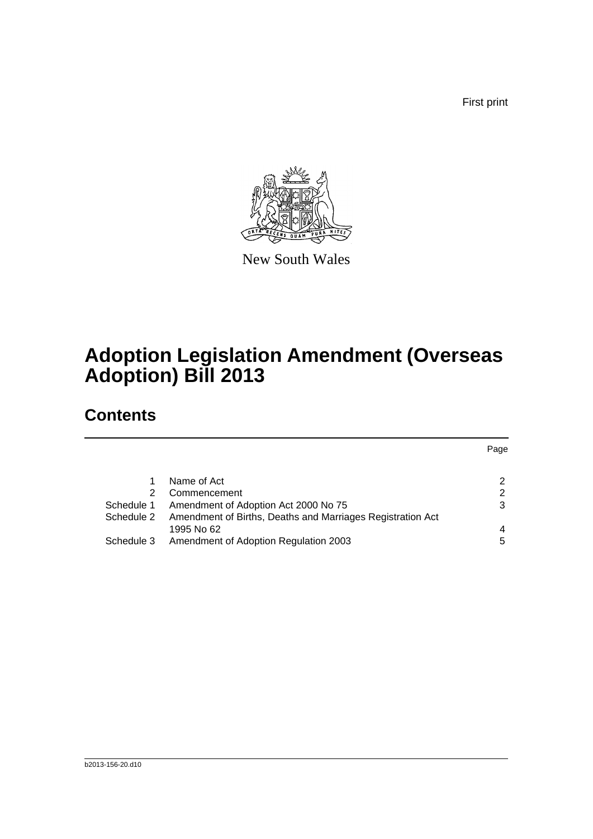First print



New South Wales

# **Adoption Legislation Amendment (Overseas Adoption) Bill 2013**

## **Contents**

|            |                                                            | Page |
|------------|------------------------------------------------------------|------|
|            |                                                            |      |
|            | Name of Act                                                | 2    |
| 2          | Commencement                                               | 2    |
| Schedule 1 | Amendment of Adoption Act 2000 No 75                       | 3    |
| Schedule 2 | Amendment of Births, Deaths and Marriages Registration Act |      |
|            | 1995 No 62                                                 | 4    |
| Schedule 3 | Amendment of Adoption Regulation 2003                      | 5    |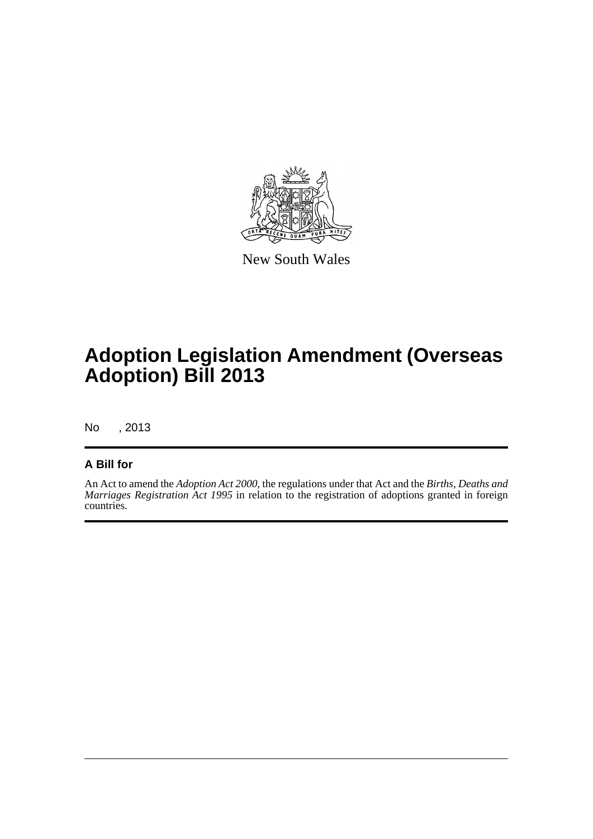

New South Wales

# **Adoption Legislation Amendment (Overseas Adoption) Bill 2013**

No , 2013

#### **A Bill for**

An Act to amend the *Adoption Act 2000*, the regulations under that Act and the *Births, Deaths and Marriages Registration Act 1995* in relation to the registration of adoptions granted in foreign countries.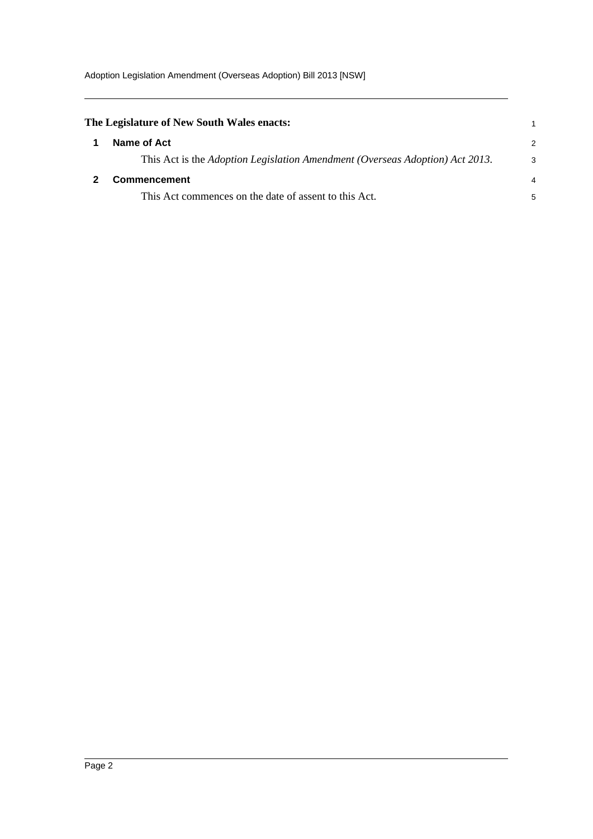<span id="page-4-1"></span><span id="page-4-0"></span>

| The Legislature of New South Wales enacts:                                   |   |
|------------------------------------------------------------------------------|---|
| Name of Act                                                                  | 2 |
| This Act is the Adoption Legislation Amendment (Overseas Adoption) Act 2013. | 3 |
| <b>Commencement</b>                                                          | 4 |
| This Act commences on the date of assent to this Act.                        | 5 |
|                                                                              |   |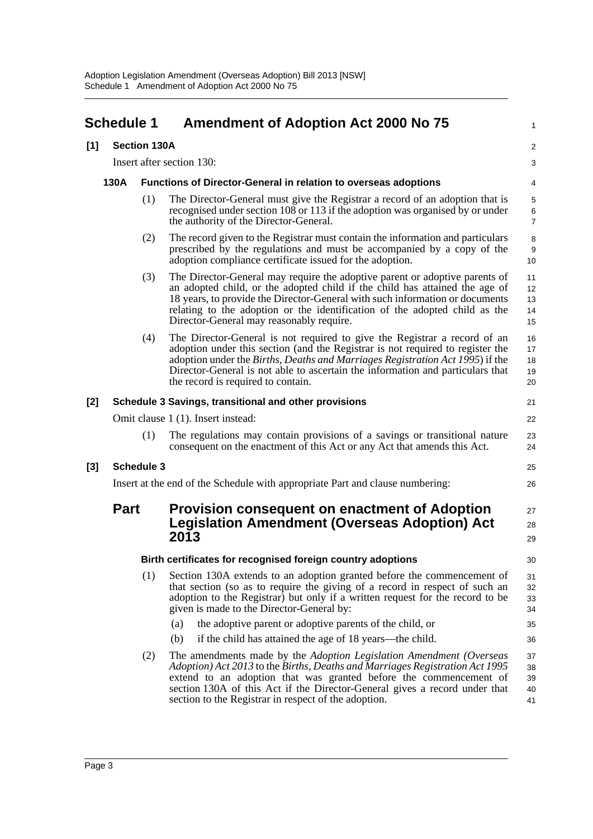<span id="page-5-0"></span>

|                                                                                | <b>Schedule 1</b> |                     | <b>Amendment of Adoption Act 2000 No 75</b>                                                                                                                                                                                                                                                                                                                             | 1                          |
|--------------------------------------------------------------------------------|-------------------|---------------------|-------------------------------------------------------------------------------------------------------------------------------------------------------------------------------------------------------------------------------------------------------------------------------------------------------------------------------------------------------------------------|----------------------------|
| [1]                                                                            |                   | <b>Section 130A</b> |                                                                                                                                                                                                                                                                                                                                                                         | $\overline{a}$             |
|                                                                                |                   |                     | Insert after section 130:                                                                                                                                                                                                                                                                                                                                               | 3                          |
| 130A<br><b>Functions of Director-General in relation to overseas adoptions</b> |                   |                     |                                                                                                                                                                                                                                                                                                                                                                         |                            |
|                                                                                |                   | (1)                 | The Director-General must give the Registrar a record of an adoption that is<br>recognised under section 108 or 113 if the adoption was organised by or under<br>the authority of the Director-General.                                                                                                                                                                 | 5<br>6<br>7                |
|                                                                                |                   | (2)                 | The record given to the Registrar must contain the information and particulars<br>prescribed by the regulations and must be accompanied by a copy of the<br>adoption compliance certificate issued for the adoption.                                                                                                                                                    | 8<br>9<br>10               |
|                                                                                |                   | (3)                 | The Director-General may require the adoptive parent or adoptive parents of<br>an adopted child, or the adopted child if the child has attained the age of<br>18 years, to provide the Director-General with such information or documents<br>relating to the adoption or the identification of the adopted child as the<br>Director-General may reasonably require.    | 11<br>12<br>13<br>14<br>15 |
|                                                                                |                   | (4)                 | The Director-General is not required to give the Registrar a record of an<br>adoption under this section (and the Registrar is not required to register the<br>adoption under the Births, Deaths and Marriages Registration Act 1995) if the<br>Director-General is not able to ascertain the information and particulars that<br>the record is required to contain.    | 16<br>17<br>18<br>19<br>20 |
| [2]                                                                            |                   |                     | Schedule 3 Savings, transitional and other provisions                                                                                                                                                                                                                                                                                                                   | 21                         |
|                                                                                |                   |                     | Omit clause 1 (1). Insert instead:                                                                                                                                                                                                                                                                                                                                      | 22                         |
|                                                                                |                   | (1)                 | The regulations may contain provisions of a savings or transitional nature<br>consequent on the enactment of this Act or any Act that amends this Act.                                                                                                                                                                                                                  | 23<br>24                   |
| [3]                                                                            |                   | <b>Schedule 3</b>   |                                                                                                                                                                                                                                                                                                                                                                         | 25                         |
|                                                                                |                   |                     | Insert at the end of the Schedule with appropriate Part and clause numbering:                                                                                                                                                                                                                                                                                           | 26                         |
|                                                                                | <b>Part</b>       |                     | <b>Provision consequent on enactment of Adoption</b><br><b>Legislation Amendment (Overseas Adoption) Act</b><br>2013                                                                                                                                                                                                                                                    | 27<br>28<br>29             |
|                                                                                |                   |                     | Birth certificates for recognised foreign country adoptions                                                                                                                                                                                                                                                                                                             | 30                         |
|                                                                                |                   | (1)                 | Section 130A extends to an adoption granted before the commencement of<br>that section (so as to require the giving of a record in respect of such an<br>adoption to the Registrar) but only if a written request for the record to be<br>given is made to the Director-General by:                                                                                     | 31<br>32<br>33<br>34       |
|                                                                                |                   |                     | the adoptive parent or adoptive parents of the child, or<br>(a)                                                                                                                                                                                                                                                                                                         | 35                         |
|                                                                                |                   |                     | (b)<br>if the child has attained the age of 18 years—the child.                                                                                                                                                                                                                                                                                                         | 36                         |
|                                                                                |                   | (2)                 | The amendments made by the <i>Adoption Legislation Amendment (Overseas</i> )<br>Adoption) Act 2013 to the Births, Deaths and Marriages Registration Act 1995<br>extend to an adoption that was granted before the commencement of<br>section 130A of this Act if the Director-General gives a record under that<br>section to the Registrar in respect of the adoption. | 37<br>38<br>39<br>40<br>41 |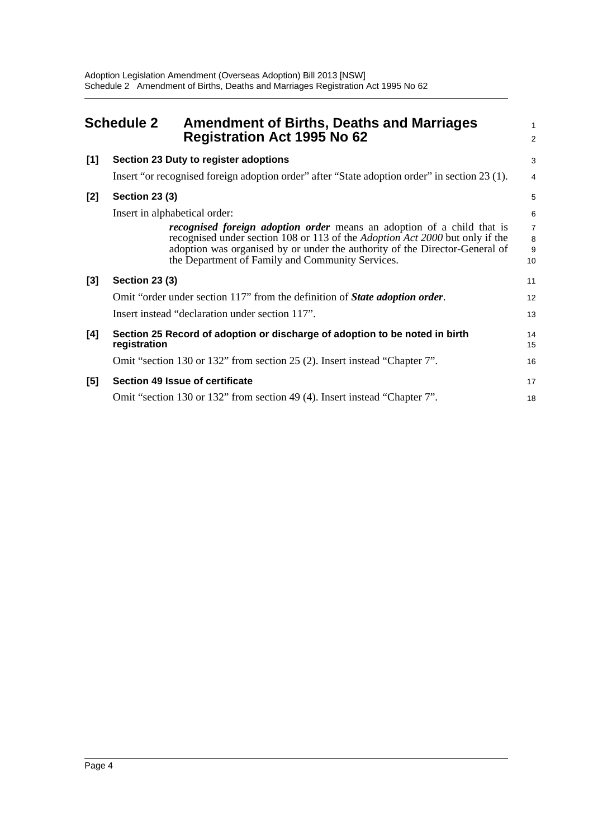<span id="page-6-0"></span>

|       | <b>Schedule 2</b><br><b>Amendment of Births, Deaths and Marriages</b><br><b>Registration Act 1995 No 62</b>                     | 1<br>$\overline{a}$                   |
|-------|---------------------------------------------------------------------------------------------------------------------------------|---------------------------------------|
| [1]   | Section 23 Duty to register adoptions                                                                                           | 3                                     |
|       | Insert "or recognised foreign adoption order" after "State adoption order" in section 23 (1).                                   | 4                                     |
| $[2]$ | <b>Section 23 (3)</b>                                                                                                           | 5                                     |
|       | Insert in alphabetical order:                                                                                                   | 6                                     |
|       | <i>recognised foreign adoption order</i> means an adoption of a child that is                                                   | $\begin{array}{c} 7 \\ 8 \end{array}$ |
|       | recognised under section 108 or 113 of the <i>Adoption Act 2000</i> but only if the                                             |                                       |
|       | adoption was organised by or under the authority of the Director-General of<br>the Department of Family and Community Services. | 9<br>10                               |
| $[3]$ | <b>Section 23 (3)</b>                                                                                                           | 11                                    |
|       | Omit "order under section 117" from the definition of <i>State adoption order</i> .                                             | 12                                    |
|       | Insert instead "declaration under section 117".                                                                                 | 13                                    |
| [4]   | Section 25 Record of adoption or discharge of adoption to be noted in birth<br>registration                                     | 14<br>15                              |
|       | Omit "section 130 or 132" from section 25 (2). Insert instead "Chapter 7".                                                      | 16                                    |
| [5]   | Section 49 Issue of certificate                                                                                                 | 17                                    |
|       | Omit "section 130 or 132" from section 49 (4). Insert instead "Chapter 7".                                                      | 18                                    |